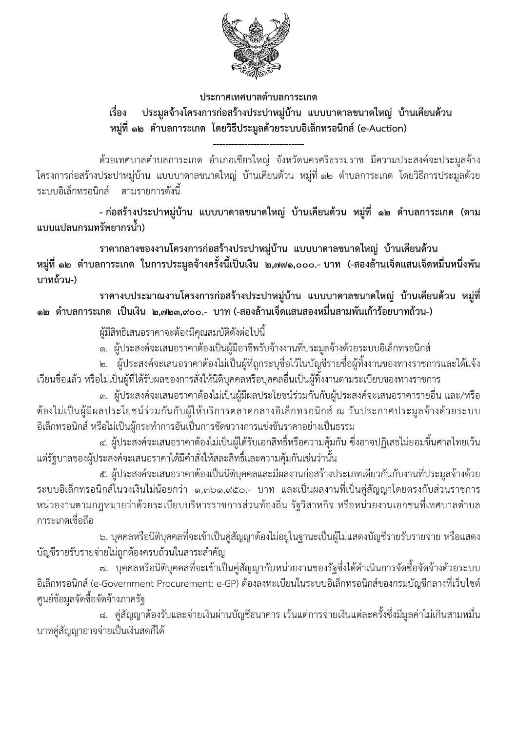

## ประกาศเทศบาลตำบลการะเกด ประมูลจ้างโครงการก่อสร้างประปาหมู่บ้าน แบบบาดาลขนาดใหญ่ บ้านเคียนด้วน เรื่อง หมู่ที่ ๑๒ ตำบลการะเกด โดยวิธีประมูลด้วยระบบอิเล็กทรอนิกส์ (e-Auction)

้ด้วยเทศบาลตำบลการะเกด อำเภอเชียรใหญ่ จังหวัดนครศรีธรรมราช มีความประสงค์จะประมูลจ้าง โครงการก่อสร้างประปาหมู่บ้าน แบบบาดาลขนาดใหญ่ บ้านเคียนด้วน หมู่ที่ ๑๒ ตำบลการะเกด โดยวิธีการประมูลด้วย ระบบอิเล็กทรอนิกส์ ตามรายการดังนี้

- ก่อสร้างประปาหมู่บ้าน แบบบาดาลขนาดใหญ่ บ้านเคียนด้วน หมู่ที่ ๑๒ ตำบลการะเกด (ตาม แบบแปลนกรมทรัพยากรน้ำ)

ราคากลางของงานโครงการก่อสร้างประปาหมู่บ้าน แบบบาดาลขนาดใหญ่ บ้านเคียนด้วน หมู่ที่ ๑๒ ตำบลการะเกด ในการประมูลจ้างครั้งนี้เป็นเงิน ๒,๗๗๑,๐๐๐.- บาท (-สองล้านเจ็ดแสนเจ็ดหมื่นหนึ่งพัน บาทถ้วน-)

ราคางบประมาณงานโครงการก่อสร้างประปาหมู่บ้าน แบบบาดาลขนาดใหญ่ บ้านเคียนด้วน หมู่ที่ ๑๒ ตำบลการะเกด เป็นเงิน ๒,๗๒๓,๙๐๐.- บาท(-สองล้านเจ็ดแสนสองหมื่นสามพันเก้าร้อยบาทถ้วน-)

ผู้มีสิทธิเสนอราคาจะต้องมีคุณสมบัติดังต่อไปนี้

ึด. ผู้ประสงค์จะเสนอราคาต้องเป็นผู้มีอาชีพรับจ้างงานที่ประมูลจ้างด้วยระบบอิเล็กทรอนิกส์

ี ๒. ผู้ประสงค์จะเสนอราคาต้องไม่เป็นผู้ที่ถูกระบุชื่อไว้ในบัญชีรายชื่อผู้ทิ้งงานของทางราชการและได้แจ้ง ้เวียนชื่อแล้ว หรือไม่เป็นผู้ที่ได้รับผลของการสั่งให้นิติบุคคลหรือบุคคลอื่นเป็นผู้ทิ้งงานตามระเบียบของทางราชการ

.๓. ผู้ประสงค์จะเสนอราคาต้องไม่เป็นผู้มีผลประโยชน์ร่วมกันกับผู้ประสงค์จะเสนอราคารายอื่น และ/หรือ ้ต้องไม่เป็นผู้มีผลประโยชน์ร่วมกันกับผู้ให้บริการตลาดกลางอิเล็กทรอนิกส์ ณ วันประกาศประมูลจ้างด้วยระบบ อิเล็กทรอนิกส์ หรือไม่เป็นผู้กระทำการอันเป็นการขัดขวางการแข่งขันราคาอย่างเป็นธรรม

้๔. ผู้ประสงค์จะเสนอราคาต้องไม่เป็นผู้ได้รับเอกสิทธิ์หรือความคุ้มกัน ซึ่งอาจปฏิเสธไม่ยอมขึ้นศาลไทยเว้น แต่รัฐบาลของผู้ประสงค์จะเสนอราคาได้มีคำสั่งให้สละสิทธิ์และความคุ้มกันเช่นว่านั้น

่ ๕. ผู้ประสงค์จะเสนอราคาต้องเป็นนิติบุคคลและมีผลงานก่อสร้างประเภทเดียวกันกับงานที่ประมูลจ้างด้วย ้ระบบอิเล็กทรอนิกส์ในวงเงินไม่น้อยกว่า ๑,๓๖๑,๙๕๐.- บาท และเป็นผลงานที่เป็นคู่สัญญาโดยตรงกับส่วนราชการ หน่วยงานตามกฎหมายว่าด้วยระเบียบบริหารราชการส่วนท้องถิ่น รัฐวิสาหกิจ หรือหน่วยงานเอกชนที่เทศบาลตำบล การะเกดเชื่อถือ

ี ๖. บุคคลหรือนิติบุคคลที่จะเข้าเป็นคู่สัญญาต้องไม่อยู่ในฐานะเป็นผู้ไม่แสดงบัญชีรายรับรายจ่าย หรือแสดง บัญชีรายรับรายจ่ายไม่ถูกต้องครบถ้วนในสาระสำคัญ

ี ๗. บุคคลหรือนิติบุคคลที่จะเข้าเป็นคู่สัญญากับหน่วยงานของรัฐซึ่งได้ดำเนินการจัดซื้อจัดจ้างด้วยระบบ ้อิเล็กทรอนิกส์ (e-Government Procurement: e-GP) ต้องลงทะเบียนในระบบอิเล็กทรอนิกส์ของกรมบัญชีกลางที่เว็บไซต์ ศูนย์ข้อมูลจัดซื้อจัดจ้างภาครัฐ

ี ๘. คู่สัญญาต้องรับและจ่ายเงินผ่านบัญชีธนาคาร เว้นแต่การจ่ายเงินแต่ละครั้งซึ่งมีมูลค่าไม่เกินสามหมื่น ้ บาทคู่สัญญาอาจจ่ายเป็นเงินสดก็ได้